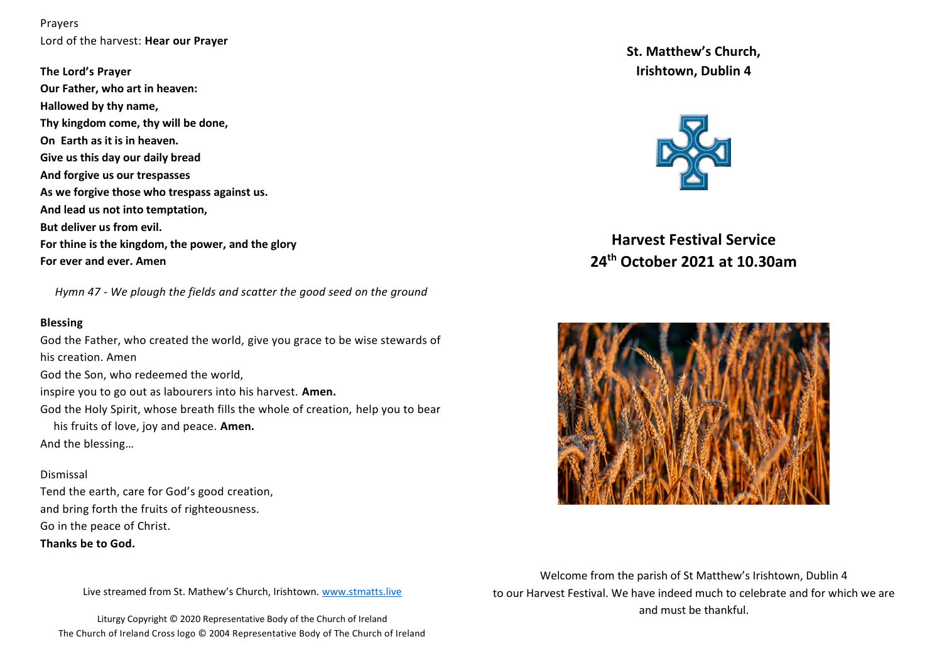Prayers Lord of the harvest: **Hear our Prayer**

**The Lord's Prayer Our Father, who art in heaven: Hallowed by thy name, Thy kingdom come, thy will be done, On Earth as it is in heaven. Give us this day our daily bread And forgive us our trespasses As we forgive those who trespass against us. And lead us not into temptation, But deliver us from evil. For thine is the kingdom, the power, and the glory For ever and ever. Amen**

 *Hymn 47 - We plough the fields and scatter the good seed on the ground*

### **Blessing**

God the Father, who created the world, give you grace to be wise stewards of his creation. Amen God the Son, who redeemed the world, inspire you to go out as labourers into his harvest. **Amen.** God the Holy Spirit, whose breath fills the whole of creation, help you to bear his fruits of love, joy and peace. **Amen.** And the blessing…

### Dismissal

Tend the earth, care for God's good creation, and bring forth the fruits of righteousness. Go in the peace of Christ.

# **Thanks be to God.**

Live streamed from St. Mathew's Church, Irishtown. [www.stmatts.live](http://www.stmatts.live/)

Liturgy Copyright © 2020 Representative Body of the Church of Ireland The Church of Ireland Cross logo © 2004 Representative Body of The Church of Ireland **St. Matthew's Church, Irishtown, Dublin 4**



**Harvest Festival Service 24th October 2021 at 10.30am**



Welcome from the parish of St Matthew's Irishtown, Dublin 4 to our Harvest Festival. We have indeed much to celebrate and for which we are and must be thankful.